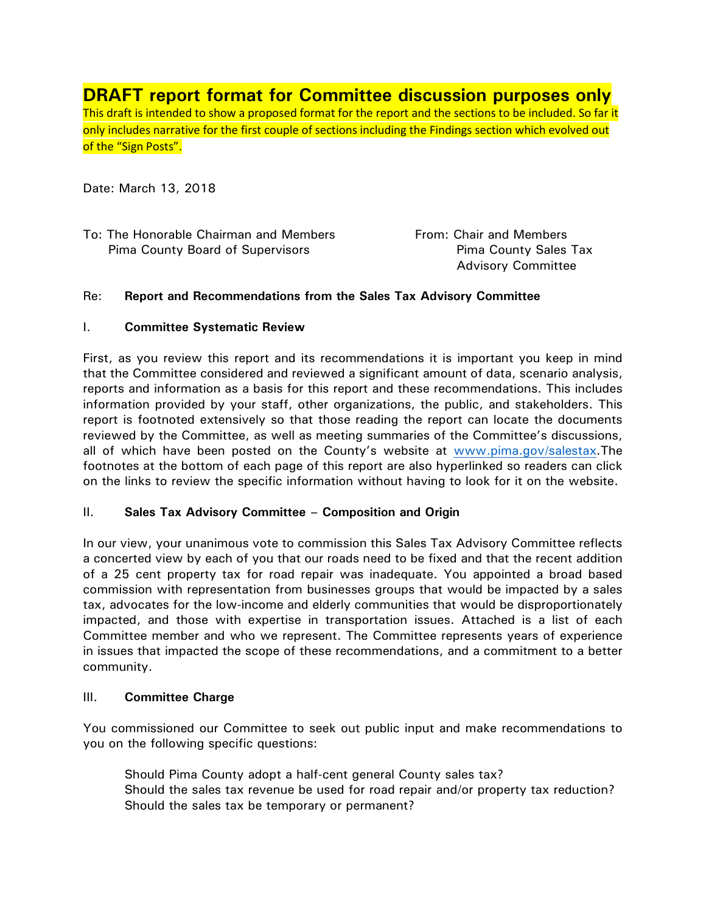**DRAFT report format for Committee discussion purposes only** This draft is intended to show a proposed format for the report and the sections to be included. So far it only includes narrative for the first couple of sections including the Findings section which evolved out of the "Sign Posts".

Date: March 13, 2018

| To: The Honorable Chairman and Members |  |
|----------------------------------------|--|
| Pima County Board of Supervisors       |  |

From: Chair and Members Pima County Sales Tax Advisory Committee

#### Re: **Report and Recommendations from the Sales Tax Advisory Committee**

## I. **Committee Systematic Review**

First, as you review this report and its recommendations it is important you keep in mind that the Committee considered and reviewed a significant amount of data, scenario analysis, reports and information as a basis for this report and these recommendations. This includes information provided by your staff, other organizations, the public, and stakeholders. This report is footnoted extensively so that those reading the report can locate the documents reviewed by the Committee, as well as meeting summaries of the Committee's discussions, all of which have been posted on the County's website at [www.pima.gov/salestax.](http://www.pima.gov/salestax)The footnotes at the bottom of each page of this report are also hyperlinked so readers can click on the links to review the specific information without having to look for it on the website.

#### II. **Sales Tax Advisory Committee – Composition and Origin**

In our view, your unanimous vote to commission this Sales Tax Advisory Committee reflects a concerted view by each of you that our roads need to be fixed and that the recent addition of a 25 cent property tax for road repair was inadequate. You appointed a broad based commission with representation from businesses groups that would be impacted by a sales tax, advocates for the low-income and elderly communities that would be disproportionately impacted, and those with expertise in transportation issues. Attached is a list of each Committee member and who we represent. The Committee represents years of experience in issues that impacted the scope of these recommendations, and a commitment to a better community.

#### III. **Committee Charge**

You commissioned our Committee to seek out public input and make recommendations to you on the following specific questions:

Should Pima County adopt a half-cent general County sales tax? Should the sales tax revenue be used for road repair and/or property tax reduction? Should the sales tax be temporary or permanent?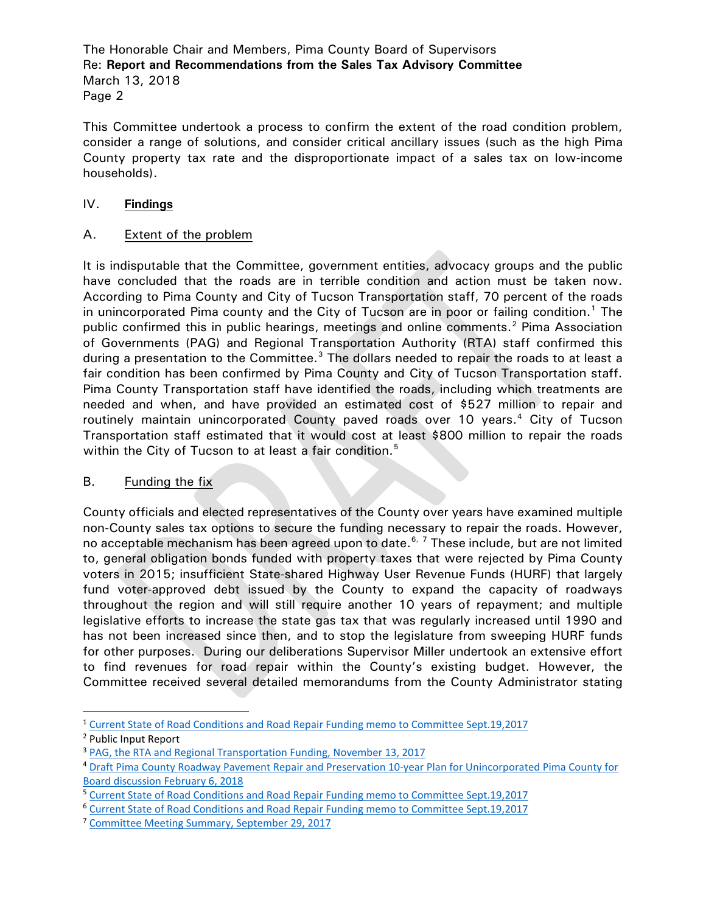The Honorable Chair and Members, Pima County Board of Supervisors Re: **Report and Recommendations from the Sales Tax Advisory Committee** March 13, 2018 Page 2

This Committee undertook a process to confirm the extent of the road condition problem, consider a range of solutions, and consider critical ancillary issues (such as the high Pima County property tax rate and the disproportionate impact of a sales tax on low-income households).

# IV. **Findings**

# A. Extent of the problem

It is indisputable that the Committee, government entities, advocacy groups and the public have concluded that the roads are in terrible condition and action must be taken now. According to Pima County and City of Tucson Transportation staff, 70 percent of the roads in unincorporated Pima county and the City of Tucson are in poor or failing condition.<sup>[1](#page-1-0)</sup> The public confirmed this in public hearings, meetings and online comments.<sup>[2](#page-1-1)</sup> Pima Association of Governments (PAG) and Regional Transportation Authority (RTA) staff confirmed this during a presentation to the Committee.<sup>[3](#page-1-2)</sup> The dollars needed to repair the roads to at least a fair condition has been confirmed by Pima County and City of Tucson Transportation staff. Pima County Transportation staff have identified the roads, including which treatments are needed and when, and have provided an estimated cost of \$527 million to repair and routinely maintain unincorporated County paved roads over 10 years.<sup>[4](#page-1-3)</sup> City of Tucson Transportation staff estimated that it would cost at least \$800 million to repair the roads within the City of Tucson to at least a fair condition.<sup>[5](#page-1-4)</sup>

# B. Funding the fix

County officials and elected representatives of the County over years have examined multiple non-County sales tax options to secure the funding necessary to repair the roads. However, no acceptable mechanism has been agreed upon to date.<sup>[6,](#page-1-5) [7](#page-1-6)</sup> These include, but are not limited to, general obligation bonds funded with property taxes that were rejected by Pima County voters in 2015; insufficient State-shared Highway User Revenue Funds (HURF) that largely fund voter-approved debt issued by the County to expand the capacity of roadways throughout the region and will still require another 10 years of repayment; and multiple legislative efforts to increase the state gas tax that was regularly increased until 1990 and has not been increased since then, and to stop the legislature from sweeping HURF funds for other purposes. During our deliberations Supervisor Miller undertook an extensive effort to find revenues for road repair within the County's existing budget. However, the Committee received several detailed memorandums from the County Administrator stating

<span id="page-1-0"></span> <sup>1</sup> [Current State of Road Conditions and Road Repair Funding memo to Committee Sept.19,2017](http://webcms.pima.gov/UserFiles/Servers/Server_6/File/Government/Transportation/Sales%20Tax%20Advisory%20Committee/Meeting%20Materials/9.29.2017%20Meeting/2017.09.19.STAC-STAC.meeting.purpose.scope.pdf)

<span id="page-1-1"></span><sup>2</sup> Public Input Report

<span id="page-1-2"></span><sup>&</sup>lt;sup>3</sup> [PAG, the RTA and Regional Transportation Funding, November 13, 2017](http://webcms.pima.gov/UserFiles/Servers/Server_6/File/Government/Transportation/Sales%20Tax%20Advisory%20Committee/Meeting%20Materials/11.13.2017%20Meeting/PAG%20transportation%20funding%20slides%20Nov.%2013%202017.pdf)

<span id="page-1-3"></span><sup>4</sup> [Draft Pima County Roadway Pavement Repair and Preservation 10-year Plan for Unincorporated Pima County for](http://webcms.pima.gov/UserFiles/Servers/Server_6/File/Government/Transportation/Sales%20Tax%20Advisory%20Committee/Post%20Meeting%20Correspondence/2018.02.06.bd-draft.sales.tax.implementation.plan.ord.road.repair.plan.pdf)  [Board discussion February 6, 2018](http://webcms.pima.gov/UserFiles/Servers/Server_6/File/Government/Transportation/Sales%20Tax%20Advisory%20Committee/Post%20Meeting%20Correspondence/2018.02.06.bd-draft.sales.tax.implementation.plan.ord.road.repair.plan.pdf)

<span id="page-1-4"></span><sup>5</sup> [Current State of Road Conditions and Road Repair Funding memo to Committee Sept.19,2017](http://webcms.pima.gov/UserFiles/Servers/Server_6/File/Government/Transportation/Sales%20Tax%20Advisory%20Committee/Meeting%20Materials/9.29.2017%20Meeting/2017.09.19.STAC-STAC.meeting.purpose.scope.pdf)

<span id="page-1-5"></span><sup>6</sup> [Current State of Road Conditions and Road Repair Funding memo to Committee Sept.19,2017](http://webcms.pima.gov/UserFiles/Servers/Server_6/File/Government/Transportation/Sales%20Tax%20Advisory%20Committee/Meeting%20Materials/9.29.2017%20Meeting/2017.09.19.STAC-STAC.meeting.purpose.scope.pdf)

<span id="page-1-6"></span><sup>&</sup>lt;sup>7</sup> [Committee Meeting Summary, September 29, 2017](http://webcms.pima.gov/UserFiles/Servers/Server_6/File/Government/Transportation/Sales%20Tax%20Advisory%20Committee/Meeting%20Summaries/2017.9.29.STAC%20meeting%20summary.FINAL.pdf)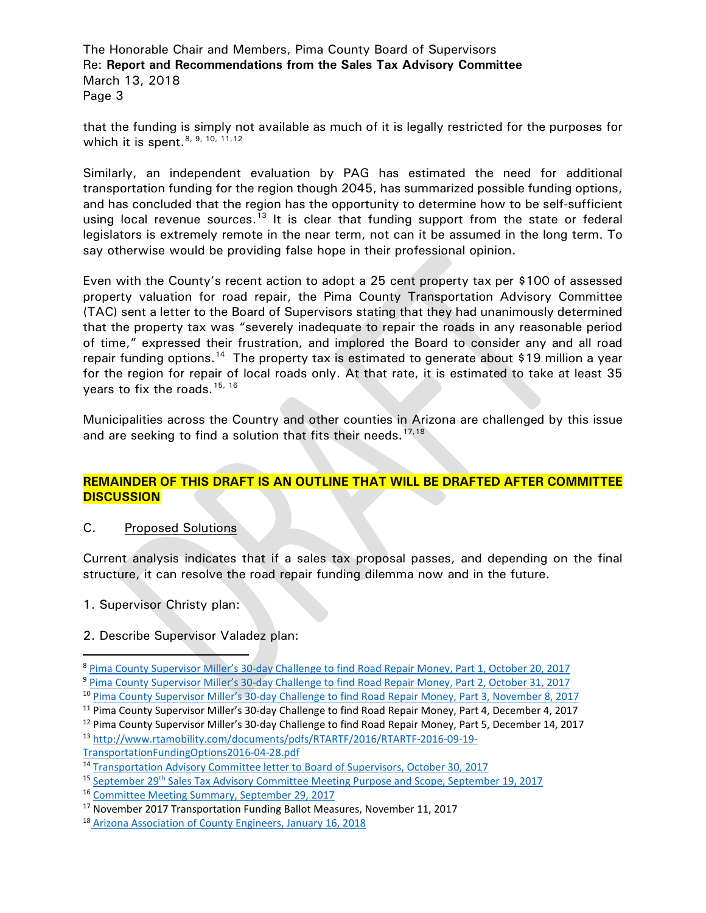The Honorable Chair and Members, Pima County Board of Supervisors Re: **Report and Recommendations from the Sales Tax Advisory Committee** March 13, 2018 Page 3

that the funding is simply not available as much of it is legally restricted for the purposes for which it is spent.  $8, 9, 10, 11, 12$  $8, 9, 10, 11, 12$  $8, 9, 10, 11, 12$  $8, 9, 10, 11, 12$  $8, 9, 10, 11, 12$  $8, 9, 10, 11, 12$  $8, 9, 10, 11, 12$  $8, 9, 10, 11, 12$  $8, 9, 10, 11, 12$ 

Similarly, an independent evaluation by PAG has estimated the need for additional transportation funding for the region though 2045, has summarized possible funding options, and has concluded that the region has the opportunity to determine how to be self-sufficient using local revenue sources.<sup>[13](#page-2-5)</sup> It is clear that funding support from the state or federal legislators is extremely remote in the near term, not can it be assumed in the long term. To say otherwise would be providing false hope in their professional opinion.

Even with the County's recent action to adopt a 25 cent property tax per \$100 of assessed property valuation for road repair, the Pima County Transportation Advisory Committee (TAC) sent a letter to the Board of Supervisors stating that they had unanimously determined that the property tax was "severely inadequate to repair the roads in any reasonable period of time," expressed their frustration, and implored the Board to consider any and all road repair funding options.<sup>[14](#page-2-6)</sup> The property tax is estimated to generate about \$19 million a year for the region for repair of local roads only. At that rate, it is estimated to take at least 35 vears to fix the roads.  $15, 16$  $15, 16$  $15, 16$ 

Municipalities across the Country and other counties in Arizona are challenged by this issue and are seeking to find a solution that fits their needs.<sup>[17,](#page-2-9)[18](#page-2-10)</sup>

## **REMAINDER OF THIS DRAFT IS AN OUTLINE THAT WILL BE DRAFTED AFTER COMMITTEE DISCUSSION**

#### C. Proposed Solutions

Current analysis indicates that if a sales tax proposal passes, and depending on the final structure, it can resolve the road repair funding dilemma now and in the future.

1. Supervisor Christy plan:

#### 2. Describe Supervisor Valadez plan:

<span id="page-2-0"></span><sup>&</sup>lt;sup>8</sup> [Pima County Supervisor Miller's 30-day Challenge to find Road Repair Money, Part 1, October 20, 2017](http://webcms.pima.gov/UserFiles/Servers/Server_6/File/Government/Transportation/Sales%20Tax%20Advisory%20Committee/Meeting%20Materials/10.27.2017/2017.10.20.STAC.TAC-miller.30.day.challenge.find.road.repair.money.response1.pdf)

<span id="page-2-1"></span><sup>9</sup> [Pima County Supervisor Miller's 30-day Challenge to find Road Repair Money, Part 2, October 31, 2017](http://webcms.pima.gov/UserFiles/Servers/Server_6/File/Government/Transportation/Sales%20Tax%20Advisory%20Committee/Post%20Meeting%20Correspondence/stac.tac-sup.miller.30day.challange.find.road.money.part2.pdf)

<span id="page-2-2"></span><sup>10</sup> [Pima County Supervisor Miller's 30-day Challenge to find Road Repair Money, Part 3, November 8, 2017](http://webcms.pima.gov/UserFiles/Servers/Server_6/File/Government/Transportation/Sales%20Tax%20Advisory%20Committee/Meeting%20Materials/11.13.2017%20Meeting/stac.tac-sup.miller.30day.challange.find.road.money.part3.pdf)

<span id="page-2-3"></span><sup>&</sup>lt;sup>11</sup> Pima County Supervisor Miller's 30-day Challenge to find Road Repair Money, Part 4, December 4, 2017

<span id="page-2-5"></span><span id="page-2-4"></span> $12$  Pima County Supervisor Miller's 30-day Challenge to find Road Repair Money, Part 5, December 14, 2017 <sup>13</sup> [http://www.rtamobility.com/documents/pdfs/RTARTF/2016/RTARTF-2016-09-19-](http://www.rtamobility.com/documents/pdfs/RTARTF/2016/RTARTF-2016-09-19-TransportationFundingOptions2016-04-28.pdf)

[TransportationFundingOptions2016-04-28.pdf](http://www.rtamobility.com/documents/pdfs/RTARTF/2016/RTARTF-2016-09-19-TransportationFundingOptions2016-04-28.pdf)

<span id="page-2-6"></span><sup>&</sup>lt;sup>14</sup> [Transportation Advisory Committee letter to Board of Supervisors, October 30, 2017](http://webcms.pima.gov/UserFiles/Servers/Server_6/File/Government/Transportation/Sales%20Tax%20Advisory%20Committee/Post%20Meeting%20Correspondence/2017.10.30.TAC.BOS.identify.adequate.funding.road.repair.needs.pdf)

<span id="page-2-7"></span><sup>15</sup> September 29<sup>th</sup> [Sales Tax Advisory Committee Meeting Purpose and Scope, September 19, 2017](http://webcms.pima.gov/UserFiles/Servers/Server_6/File/Government/Transportation/Sales%20Tax%20Advisory%20Committee/Meeting%20Materials/9.29.2017%20Meeting/2017.09.19.STAC-STAC.meeting.purpose.scope.pdf)

<span id="page-2-8"></span><sup>16</sup> [Committee Meeting Summary, September 29, 2017](http://webcms.pima.gov/UserFiles/Servers/Server_6/File/Government/Transportation/Sales%20Tax%20Advisory%20Committee/Meeting%20Summaries/2017.9.29.STAC%20meeting%20summary.FINAL.pdf)

<span id="page-2-9"></span><sup>&</sup>lt;sup>17</sup> November 2017 Transportation Funding Ballot Measures, November 11, 2017

<span id="page-2-10"></span><sup>18</sup> [Arizona Association of County Engineers, January 16, 2018](http://webcms.pima.gov/UserFiles/Servers/Server_6/File/Government/Transportation/Sales%20Tax%20Advisory%20Committee/Post%20Meeting%20Correspondence/2018.01.16.Arizona%20Association%20of%20County%20Engineers%20-%20Roadway%20Draft%20Study.pdf)